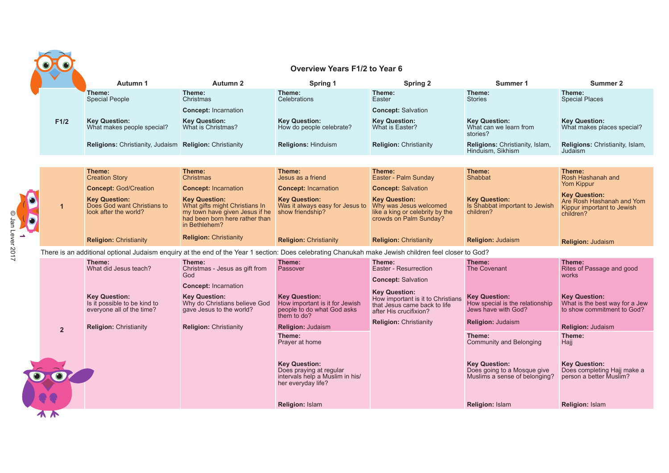|                |                                                                                                                                                      |                                                                                                                                             | <b>Overview Years F1/2 to Year 6</b>                                                                     |                                                                                                                     |                                                                                      |                                                                                              |
|----------------|------------------------------------------------------------------------------------------------------------------------------------------------------|---------------------------------------------------------------------------------------------------------------------------------------------|----------------------------------------------------------------------------------------------------------|---------------------------------------------------------------------------------------------------------------------|--------------------------------------------------------------------------------------|----------------------------------------------------------------------------------------------|
|                | Autumn 1                                                                                                                                             | Autumn 2                                                                                                                                    | Spring 1                                                                                                 | <b>Spring 2</b>                                                                                                     | Summer 1                                                                             | Summer 2                                                                                     |
|                | Theme:<br><b>Special People</b>                                                                                                                      | Theme:<br>Christmas                                                                                                                         | Theme:<br><b>Celebrations</b>                                                                            | Theme:<br>Easter                                                                                                    | Theme:<br><b>Stories</b>                                                             | Theme:<br><b>Special Places</b>                                                              |
| F1/2           | <b>Key Question:</b><br>What makes people special?                                                                                                   | <b>Concept: Incarnation</b><br><b>Key Question:</b><br>What is Christmas?                                                                   | <b>Key Question:</b><br>How do people celebrate?                                                         | <b>Concept: Salvation</b><br><b>Key Question:</b><br>What is Easter?                                                | <b>Key Question:</b><br>What can we learn from<br>stories?                           | <b>Key Question:</b><br>What makes places special?                                           |
|                | Religions: Christianity, Judaism Religion: Christianity                                                                                              |                                                                                                                                             | <b>Religions: Hinduism</b>                                                                               | <b>Religion: Christianity</b>                                                                                       | Religions: Christianity, Islam,<br>Hinduism, Sikhism                                 | <b>Religions: Christianity, Islam,</b><br>Judaism                                            |
|                |                                                                                                                                                      |                                                                                                                                             |                                                                                                          |                                                                                                                     |                                                                                      |                                                                                              |
|                | Theme:<br><b>Creation Story</b>                                                                                                                      | Theme:<br>Christmas                                                                                                                         | Theme:<br>Jesus as a friend                                                                              | Theme:<br>Easter - Palm Sunday                                                                                      | Theme:<br>Shabbat                                                                    | Theme:<br>Rosh Hashanah and                                                                  |
|                | <b>Concept: God/Creation</b>                                                                                                                         | <b>Concept: Incarnation</b>                                                                                                                 | <b>Concept: Incarnation</b>                                                                              | <b>Concept: Salvation</b>                                                                                           |                                                                                      | Yom Kippur                                                                                   |
| $\mathbf{1}$   | <b>Key Question:</b><br>Does God want Christians to<br>look after the world?                                                                         | <b>Key Question:</b><br>What gifts might Christians In<br>my town have given Jesus if he<br>had been born here rather than<br>in Bethlehem? | <b>Key Question:</b><br>Was it always easy for Jesus to<br>show friendship?                              | <b>Key Question:</b><br>Why was Jesus welcomed<br>like a king or celebrity by the<br>crowds on Palm Sunday?         | <b>Key Question:</b><br>Is Shabbat important to Jewish<br>children?                  | <b>Key Question:</b><br>Are Rosh Hashanah and Yom<br>Kippur important to Jewish<br>children? |
|                | <b>Religion: Christianity</b>                                                                                                                        | <b>Religion: Christianity</b>                                                                                                               | <b>Religion: Christianity</b>                                                                            | <b>Religion: Christianity</b>                                                                                       | <b>Religion: Judaism</b>                                                             | <b>Religion: Judaism</b>                                                                     |
|                | There is an additional optional Judaism enquiry at the end of the Year 1 section: Does celebrating Chanukah make Jewish children feel closer to God? |                                                                                                                                             |                                                                                                          |                                                                                                                     |                                                                                      |                                                                                              |
|                | Theme:<br>What did Jesus teach?                                                                                                                      | Theme:<br>Christmas - Jesus as gift from<br>God                                                                                             | Theme:<br>Passover                                                                                       | Theme:<br>Easter - Resurrection<br><b>Concept: Salvation</b>                                                        | Theme:<br>The Covenant                                                               | Theme:<br>Rites of Passage and good<br>works                                                 |
|                | <b>Key Question:</b><br>Is it possible to be kind to<br>everyone all of the time?                                                                    | <b>Concept: Incarnation</b><br><b>Key Question:</b><br>Why do Christians believe God<br>gave Jesus to the world?                            | <b>Key Question:</b><br>How important is it for Jewish<br>people to do what God asks<br>them to do?      | <b>Key Question:</b><br>How important is it to Christians<br>that Jesus came back to life<br>after His crucifixion? | <b>Key Question:</b><br>How special is the relationship<br>Jews have with God?       | <b>Key Question:</b><br>What is the best way for a Jew<br>to show commitment to God?         |
| $\overline{2}$ | <b>Religion: Christianity</b>                                                                                                                        | <b>Religion: Christianity</b>                                                                                                               | <b>Religion: Judaism</b>                                                                                 | <b>Religion: Christianity</b>                                                                                       | <b>Religion: Judaism</b>                                                             | <b>Religion: Judaism</b>                                                                     |
|                |                                                                                                                                                      |                                                                                                                                             | Theme:<br>Prayer at home                                                                                 |                                                                                                                     | Theme:<br><b>Community and Belonging</b>                                             | Theme:<br>Hajj                                                                               |
|                |                                                                                                                                                      |                                                                                                                                             | <b>Key Question:</b><br>Does praying at regular<br>intervals help a Muslim in his/<br>her everyday life? |                                                                                                                     | <b>Key Question:</b><br>Does going to a Mosque give<br>Muslims a sense of belonging? | <b>Key Question:</b><br>Does completing Hajj make a<br>person a better Muslim?               |
|                |                                                                                                                                                      |                                                                                                                                             | <b>Religion: Islam</b>                                                                                   |                                                                                                                     | <b>Religion: Islam</b>                                                               | <b>Religion: Islam</b>                                                                       |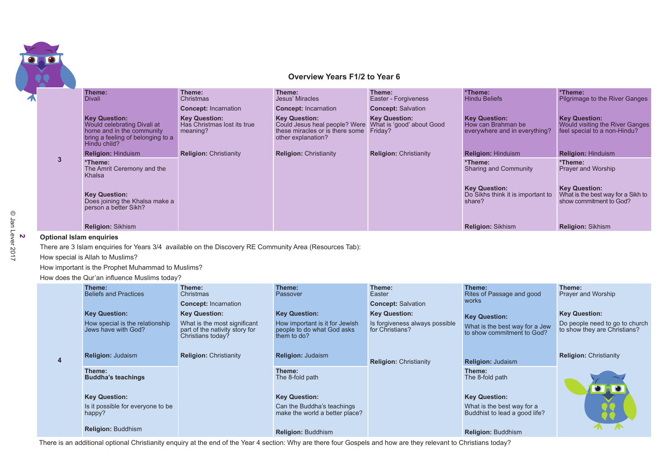

## **Overview Years F1/2 to Year 6**

|              | Theme:<br><b>Divali</b>                                                                                                               | Theme:<br>Christmas                                             | Theme:<br>Jesus' Miracles                                                                                      | Theme:<br>Easter - Forgiveness                               | *Theme:<br><b>Hindu Beliefs</b>                                             | *Theme:<br>Pilgrimage to the River Ganges                                               |
|--------------|---------------------------------------------------------------------------------------------------------------------------------------|-----------------------------------------------------------------|----------------------------------------------------------------------------------------------------------------|--------------------------------------------------------------|-----------------------------------------------------------------------------|-----------------------------------------------------------------------------------------|
|              |                                                                                                                                       | <b>Concept: Incarnation</b>                                     | <b>Concept: Incarnation</b>                                                                                    | <b>Concept: Salvation</b>                                    |                                                                             |                                                                                         |
|              | <b>Key Question:</b><br>Would celebrating Divali at<br>home and in the community<br>bring a feeling of belonging to a<br>Hindu child? | <b>Key Question:</b><br>Has Christmas lost its true<br>meaning? | <b>Key Question:</b><br>Could Jesus heal people? Were<br>these miracles or is there some<br>other explanation? | <b>Key Question:</b><br>What is 'good' about Good<br>Friday? | <b>Key Question:</b><br>How can Brahman be<br>everywhere and in everything? | <b>Key Question:</b><br>Would visiting the River Ganges<br>feel special to a non-Hindu? |
|              | <b>Religion: Hinduism</b>                                                                                                             | <b>Religion: Christianity</b>                                   | <b>Religion: Christianity</b>                                                                                  | <b>Religion: Christianity</b>                                | <b>Religion: Hinduism</b>                                                   | <b>Religion: Hinduism</b>                                                               |
| $\mathbf{3}$ | *Theme:<br>The Amrit Ceremony and the<br>Khalsa                                                                                       |                                                                 |                                                                                                                |                                                              | *Theme:<br><b>Sharing and Community</b>                                     | *Theme:<br>Prayer and Worship                                                           |
|              | <b>Key Question:</b><br>Does joining the Khalsa make a<br>person a better Sikh?                                                       |                                                                 |                                                                                                                |                                                              | <b>Key Question:</b><br>Do Sikhs think it is important to<br>share?         | <b>Key Question:</b><br>What is the best way for a Sikh to<br>show commitment to God?   |
|              | <b>Religion: Sikhism</b>                                                                                                              |                                                                 |                                                                                                                |                                                              | <b>Religion: Sikhism</b>                                                    | <b>Religion: Sikhism</b>                                                                |

## **Optional Islam enquiries**

There are 3 Islam enquiries for Years 3/4 available on the Discovery RE Community Area (Resources Tab):

## How special is Allah to Muslims?

How important is the Prophet Muhammad to Muslims?

How does the Qur'an influence Muslims today?

|                | Theme:<br><b>Beliefs and Practices</b>                                         | Theme:<br>Christmas<br><b>Concept: Incarnation</b>                                                          | Theme:<br>Passover                                                                                  | Theme:<br>Easter<br><b>Concept: Salvation</b>                             | Theme:<br>Rites of Passage and good<br>works                                         | Theme:<br>Prayer and Worship                                                           |
|----------------|--------------------------------------------------------------------------------|-------------------------------------------------------------------------------------------------------------|-----------------------------------------------------------------------------------------------------|---------------------------------------------------------------------------|--------------------------------------------------------------------------------------|----------------------------------------------------------------------------------------|
|                | <b>Key Question:</b><br>How special is the relationship<br>Jews have with God? | <b>Key Question:</b><br>What is the most significant<br>part of the nativity story for<br>Christians today? | <b>Key Question:</b><br>How important is it for Jewish<br>people to do what God asks<br>them to do? | <b>Key Question:</b><br>Is forgiveness always possible<br>for Christians? | <b>Key Question:</b><br>What is the best way for a Jew<br>to show commitment to God? | <b>Key Question:</b><br>Do people need to go to church<br>to show they are Christians? |
| $\overline{4}$ | <b>Religion: Judaism</b>                                                       | <b>Religion: Christianity</b>                                                                               | <b>Religion: Judaism</b>                                                                            | <b>Religion: Christianity</b>                                             | <b>Religion: Judaism</b>                                                             | <b>Religion: Christianity</b>                                                          |
|                | Theme:<br><b>Buddha's teachings</b>                                            |                                                                                                             | Theme:<br>The 8-fold path                                                                           |                                                                           | Theme:<br>The 8-fold path                                                            |                                                                                        |
|                | <b>Key Question:</b>                                                           |                                                                                                             | <b>Key Question:</b>                                                                                |                                                                           | <b>Key Question:</b>                                                                 |                                                                                        |
|                | Is it possible for everyone to be<br>happy?                                    |                                                                                                             | Can the Buddha's teachings<br>make the world a better place?                                        |                                                                           | What is the best way for a<br>Buddhist to lead a good life?                          |                                                                                        |
|                | <b>Religion: Buddhism</b>                                                      |                                                                                                             | <b>Religion: Buddhism</b>                                                                           |                                                                           | <b>Religion: Buddhism</b>                                                            |                                                                                        |

There is an additional optional Christianity enquiry at the end of the Year 4 section: Why are there four Gospels and how are they relevant to Christians today?